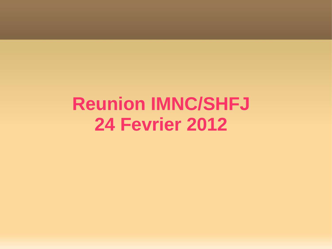#### **Reunion IMNC/SHFJ 24 Fevrier 2012**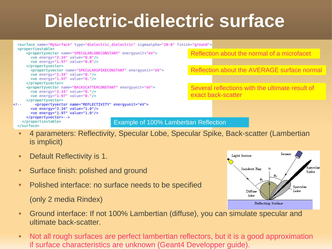## **Dielectric-dielectric surface**



- 4 parameters: Reflectivity, Specular Lobe, Specular Spike, Back-scatter (Lambertian is implicit)
- **Default Reflectivity is 1.**
- **Surface finish: polished and ground**
- **Polished interface: no surface needs to be specified**

(only 2 media Rindex)



- Ground interface: If not 100% Lambertian (diffuse), you can simulate specular and ultimate back-scatter.
- Not all rough surfaces are perfect lambertian reflectors, but it is a good approximation if surface characteristics are unknown (Geant4 Developper guide).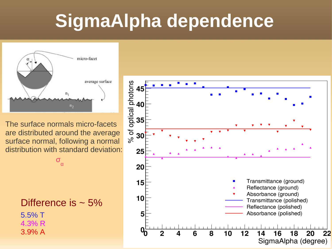# **SigmaAlpha dependence**



The surface normals micro-facets are distributed around the average surface normal, following a normal distribution with standard deviation:

α

σ

Difference is  $\sim$  5% 5.5% T 4.3% R 3.9% A

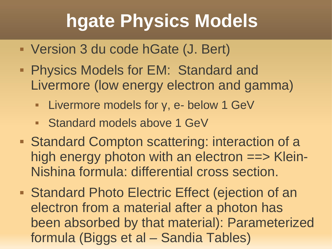# **hgate Physics Models**

- Version 3 du code hGate (J. Bert)
- **Physics Models for EM: Standard and** Livermore (low energy electron and gamma)
	- Livermore models for γ, e- below 1 GeV
	- Standard models above 1 GeV
- **Standard Compton scattering: interaction of a** high energy photon with an electron ==> Klein-Nishina formula: differential cross section.
- Standard Photo Electric Effect (ejection of an electron from a material after a photon has been absorbed by that material): Parameterized formula (Biggs et al – Sandia Tables)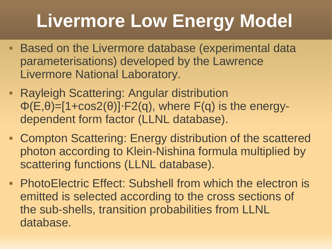# **Livermore Low Energy Model**

- Based on the Livermore database (experimental data parameterisations) developed by the Lawrence Livermore National Laboratory.
- **Rayleigh Scattering: Angular distribution**  $\Phi(E,\theta)$ =[1+cos2( $\theta$ )] F2(q), where F(q) is the energydependent form factor (LLNL database).
- Compton Scattering: Energy distribution of the scattered photon according to Klein-Nishina formula multiplied by scattering functions (LLNL database).
- PhotoElectric Effect: Subshell from which the electron is emitted is selected according to the cross sections of the sub-shells, transition probabilities from LLNL database.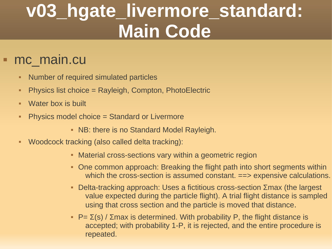### **v03\_hgate\_livermore\_standard: Main Code**

#### mc main.cu

- Number of required simulated particles
- **Physics list choice = Rayleigh, Compton, PhotoElectric**
- Water box is built
- **Physics model choice = Standard or Livermore** 
	- NB: there is no Standard Model Rayleigh.
- Woodcock tracking (also called delta tracking):
	- Material cross-sections vary within a geometric region
	- One common approach: Breaking the flight path into short segments within which the cross-section is assumed constant. ==> expensive calculations.
	- Delta-tracking approach: Uses a fictitious cross-section Σmax (the largest value expected during the particle flight). A trial flight distance is sampled using that cross section and the particle is moved that distance.
	- $P = \Sigma(s)$  / Σmax is determined. With probability P, the flight distance is accepted; with probability 1-P, it is rejected, and the entire procedure is repeated.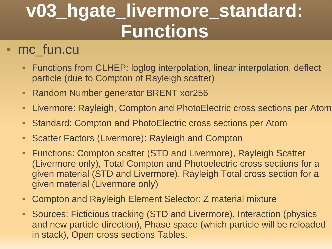## **v03\_hgate\_livermore\_standard: Functions**

#### • mc fun.cu

- Functions from CLHEP: loglog interpolation, linear interpolation, deflect particle (due to Compton of Rayleigh scatter)
- **Random Number generator BRENT xor256**
- Livermore: Rayleigh, Compton and PhotoElectric cross sections per Atom
- Standard: Compton and PhotoElectric cross sections per Atom
- Scatter Factors (Livermore): Rayleigh and Compton
- Functions: Compton scatter (STD and Livermore), Rayleigh Scatter (Livermore only), Total Compton and Photoelectric cross sections for a given material (STD and Livermore), Rayleigh Total cross section for a given material (Livermore only)
- Compton and Rayleigh Element Selector: Z material mixture
- Sources: Ficticious tracking (STD and Livermore), Interaction (physics and new particle direction), Phase space (which particle will be reloaded in stack), Open cross sections Tables.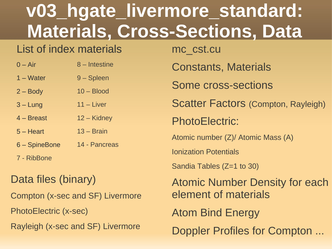# **v03\_hgate\_livermore\_standard: Materials, Cross-Sections, Data**

#### List of index materials  $0 - Air$ 1 – Water 2 – Body  $3 -$ Lung 4 – Breast 5 – Heart 6 – SpineBone 8 – Intestine 9 – Spleen 10 – Blood 11 – Liver 12 – Kidney 13 – Brain 14 - Pancreas mc\_cst.cu Constants, Materials Some cross-sections Scatter Factors (Compton, Rayleigh) PhotoElectric: Atomic number (Z)/ Atomic Mass (A) Ionization Potentials Sandia Tables (Z=1 to 30) Atomic Number Density for each element of materials Atom Bind Energy 7 - RibBone Data files (binary) Compton (x-sec and SF) Livermore PhotoElectric (x-sec)

Rayleigh (x-sec and SF) Livermore

Doppler Profiles for Compton ...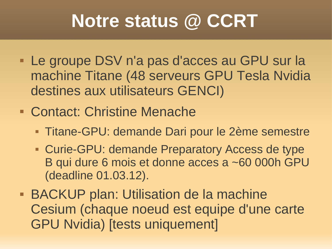#### **Notre status @ CCRT**

- Le groupe DSV n'a pas d'acces au GPU sur la machine Titane (48 serveurs GPU Tesla Nvidia destines aux utilisateurs GENCI)
- Contact: Christine Menache
	- Titane-GPU: demande Dari pour le 2ème semestre
	- Curie-GPU: demande Preparatory Access de type B qui dure 6 mois et donne acces a ~60 000h GPU (deadline 01.03.12).
- **BACKUP plan: Utilisation de la machine** Cesium (chaque noeud est equipe d'une carte GPU Nvidia) [tests uniquement]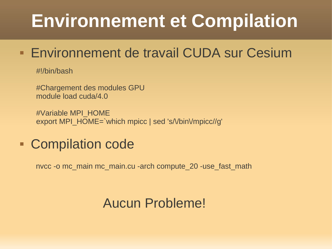## **Environnement et Compilation**

#### Environnement de travail CUDA sur Cesium

#!/bin/bash

#Chargement des modules GPU module load cuda/4.0

#Variable MPI\_HOME export MPI\_HOME=`which mpicc | sed 's/\/bin\/mpicc//g'

#### **- Compilation code**

nvcc -o mc\_main mc\_main.cu -arch compute\_20 -use\_fast\_math

#### Aucun Probleme!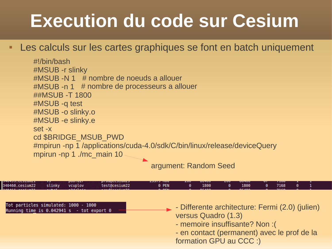### **Execution du code sur Cesium**

Les calculs sur les cartes graphiques se font en batch uniquement

```
#!/bin/bash
#MSUB -r slinky
#MSUB -N 1
# nombre de noeuds a allouer#MSUB -n 1
# nombre de processeurs a allouer
##MSUB -T 1800
#MSUB -q test
#MSUB -o slinky.o
#MSUB -e slinky.e
set -x
cd $BRIDGE_MSUB_PWD
#mpirun -np 1 /applications/cuda-4.0/sdk/C/bin/linux/release/deviceQuery
mpirun -np 1 ./mc_main 10
```
argument: Random Seed

| 340460.cesium22                                                                     | slinky | συσταπ<br>vcuplov | <u>PT AND TESTAMING</u><br>test@cesium22 | 0 PEN | Θ | 1800                                                                                                                                                                                                     | zvv<br>0 | יטדענ<br>1800 | 7168 |  |
|-------------------------------------------------------------------------------------|--------|-------------------|------------------------------------------|-------|---|----------------------------------------------------------------------------------------------------------------------------------------------------------------------------------------------------------|----------|---------------|------|--|
| Tot particles simulated: 1000 - 1000<br>Running time is $0.042941 s - tot export 0$ |        |                   |                                          |       |   | $\blacktriangleright$ - Differente architecture: Fermi (2.0) (julien)<br>versus Quadro (1.3)<br>- memoire insuffisante? Non :(<br>- en contact (permanent) avec le prof de la<br>formation GPU au CCC :) |          |               |      |  |